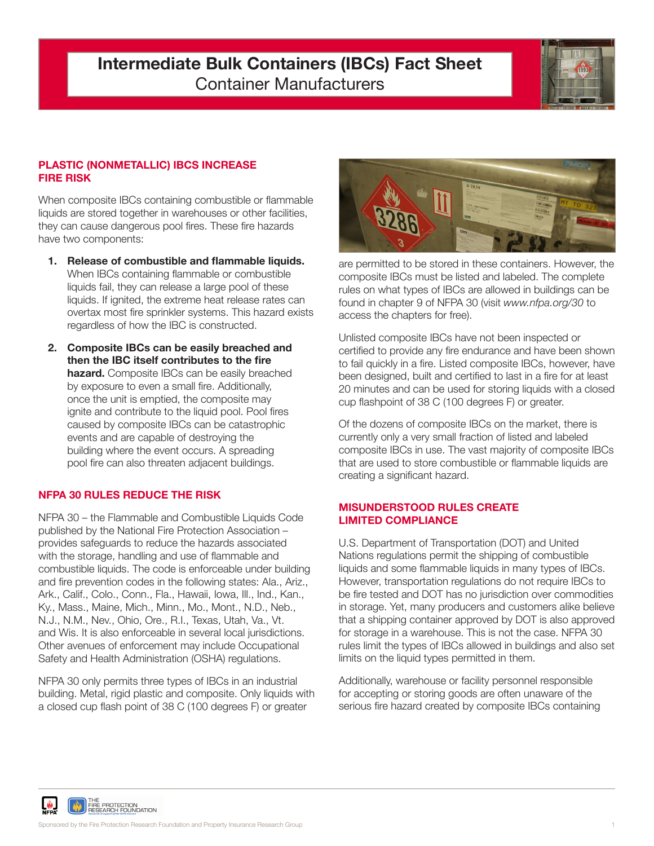# **Intermediate Bulk Containers (IBCs) Fact Sheet** Container Manufacturers



## **PLASTIC (NONMETALLIC) IBCS INCREASE FIRE RISK**

When composite IBCs containing combustible or flammable liquids are stored together in warehouses or other facilities, they can cause dangerous pool fires. These fire hazards have two components:

- **1. Release of combustible and flammable liquids.** When IBCs containing flammable or combustible liquids fail, they can release a large pool of these liquids. If ignited, the extreme heat release rates can overtax most fire sprinkler systems. This hazard exists regardless of how the IBC is constructed.
- **2. Composite IBCs can be easily breached and then the IBC itself contributes to the fire hazard.** Composite IBCs can be easily breached by exposure to even a small fire. Additionally, once the unit is emptied, the composite may ignite and contribute to the liquid pool. Pool fires caused by composite IBCs can be catastrophic events and are capable of destroying the building where the event occurs. A spreading pool fire can also threaten adjacent buildings.

### **NFPA 30 RULES REDUCE THE RISK**

NFPA 30 – the Flammable and Combustible Liquids Code published by the National Fire Protection Association – provides safeguards to reduce the hazards associated with the storage, handling and use of flammable and combustible liquids. The code is enforceable under building and fire prevention codes in the following states: Ala., Ariz., Ark., Calif., Colo., Conn., Fla., Hawaii, Iowa, Ill., Ind., Kan., Ky., Mass., Maine, Mich., Minn., Mo., Mont., N.D., Neb., N.J., N.M., Nev., Ohio, Ore., R.I., Texas, Utah, Va., Vt. and Wis. It is also enforceable in several local jurisdictions. Other avenues of enforcement may include Occupational Safety and Health Administration (OSHA) regulations.

NFPA 30 only permits three types of IBCs in an industrial building. Metal, rigid plastic and composite. Only liquids with a closed cup flash point of 38 C (100 degrees F) or greater



are permitted to be stored in these containers. However, the composite IBCs must be listed and labeled. The complete rules on what types of IBCs are allowed in buildings can be found in chapter 9 of NFPA 30 (visit *www.nfpa.org/30* to access the chapters for free).

Unlisted composite IBCs have not been inspected or certified to provide any fire endurance and have been shown to fail quickly in a fire. Listed composite IBCs, however, have been designed, built and certified to last in a fire for at least 20 minutes and can be used for storing liquids with a closed cup flashpoint of 38 C (100 degrees F) or greater.

Of the dozens of composite IBCs on the market, there is currently only a very small fraction of listed and labeled composite IBCs in use. The vast majority of composite IBCs that are used to store combustible or flammable liquids are creating a significant hazard.

#### **MISUNDERSTOOD RULES CREATE LIMITED COMPLIANCE**

U.S. Department of Transportation (DOT) and United Nations regulations permit the shipping of combustible liquids and some flammable liquids in many types of IBCs. However, transportation regulations do not require IBCs to be fire tested and DOT has no jurisdiction over commodities in storage. Yet, many producers and customers alike believe that a shipping container approved by DOT is also approved for storage in a warehouse. This is not the case. NFPA 30 rules limit the types of IBCs allowed in buildings and also set limits on the liquid types permitted in them.

Additionally, warehouse or facility personnel responsible for accepting or storing goods are often unaware of the serious fire hazard created by composite IBCs containing

THE<br>FIRE PROTECTION<br>RESEARCH FOUNDATION